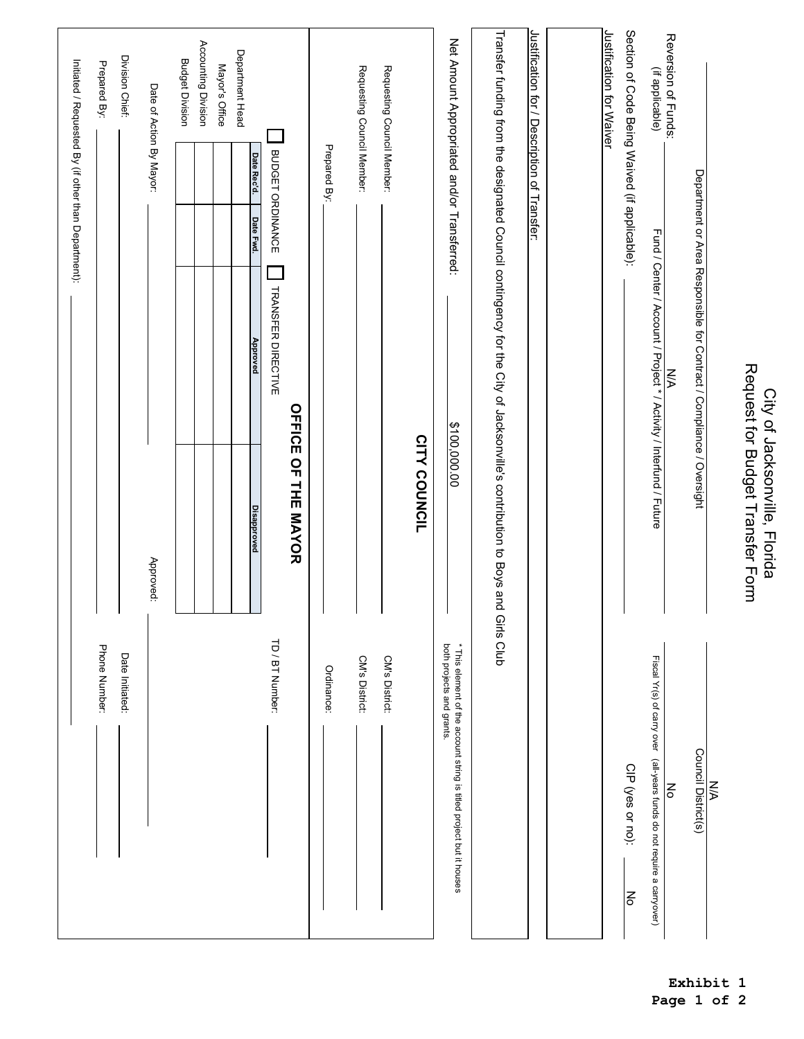| Initiated / Requested By (if other than Department): | Prepared By:<br>Phone Number: | Division Chief:<br>Date Initiated: | Date of Action By Mayor:<br>Approved: | <b>Budget Division</b> | Accounting Division | Mayor's Office | Department Head | BUDGET ORDINANCE<br>Date Rec'd.<br>Date Fwd.<br><b>TRANSFER DIRECTIVE</b><br><b>Approved</b><br>Disapproved<br>TD / BT Number: | OFFICE OF THE MAYOR | Prepared By:<br>Ordinance: | Requesting Council Member:<br>CM's District: | Requesting Council Member:<br>CM's District: | CITY COUNCIL | Net Amount Appropriated and/or Transferred:<br>\$100,000.00<br>both projects and grants. | Transfer funding from the designated Council contingency for the City of Jacksonville's contribution to Boys and<br>Girls Club | Justification for / Description of Transfer: | Justification for Waiver | Section of Code Being Waived (if applicable): | Reversion of Funds:<br>(if applicable)<br>Fund / Center / Account / Project * / Activity / Interfund / Future<br><b>N/A</b><br>$\frac{2}{\circ}$ | Department or Area Responsible for Contract / Compliance / Oversight | <b>NA</b> | Request for Budget Transfer Form<br>City of Jacksonville, Florida |
|------------------------------------------------------|-------------------------------|------------------------------------|---------------------------------------|------------------------|---------------------|----------------|-----------------|--------------------------------------------------------------------------------------------------------------------------------|---------------------|----------------------------|----------------------------------------------|----------------------------------------------|--------------|------------------------------------------------------------------------------------------|--------------------------------------------------------------------------------------------------------------------------------|----------------------------------------------|--------------------------|-----------------------------------------------|--------------------------------------------------------------------------------------------------------------------------------------------------|----------------------------------------------------------------------|-----------|-------------------------------------------------------------------|
|                                                      |                               |                                    |                                       |                        |                     |                |                 |                                                                                                                                |                     |                            |                                              |                                              |              | * This element of the account string is titled project but it houses                     |                                                                                                                                |                                              |                          | CIP (yes or no):<br>Νo                        | Fiscal Yr(s) of carry over (all-years funds do not require a carryover)                                                                          | Council District(s)                                                  |           |                                                                   |